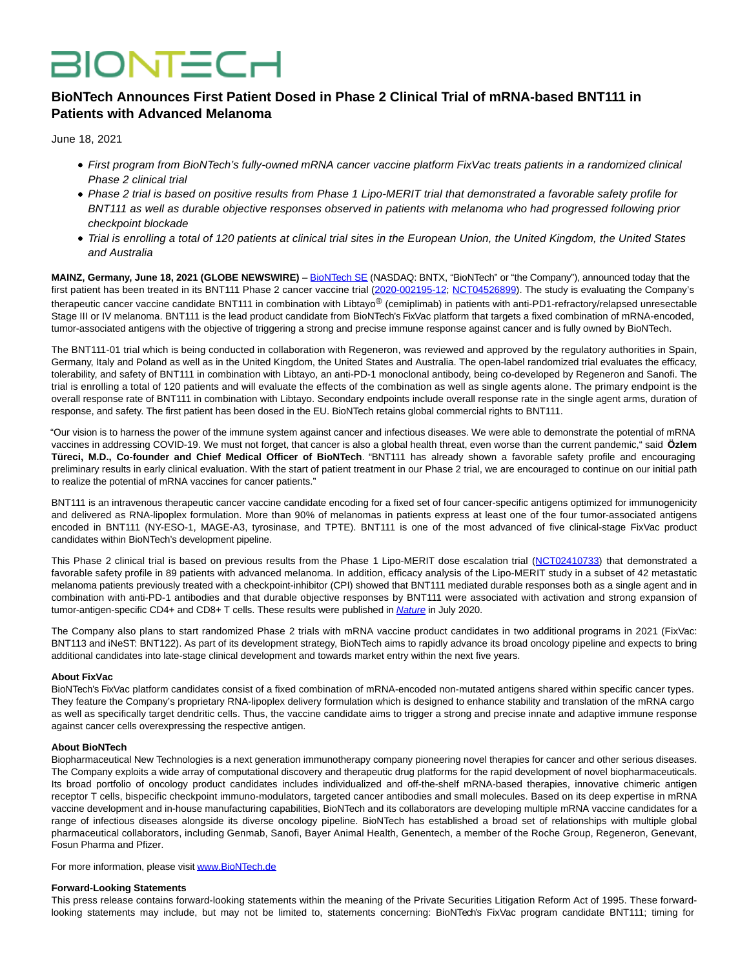# **BIONTECH**

## **BioNTech Announces First Patient Dosed in Phase 2 Clinical Trial of mRNA-based BNT111 in Patients with Advanced Melanoma**

June 18, 2021

- First program from BioNTech's fully-owned mRNA cancer vaccine platform FixVac treats patients in a randomized clinical Phase 2 clinical trial
- Phase 2 trial is based on positive results from Phase 1 Lipo-MERIT trial that demonstrated a favorable safety profile for BNT111 as well as durable objective responses observed in patients with melanoma who had progressed following prior checkpoint blockade
- Trial is enrolling a total of 120 patients at clinical trial sites in the European Union, the United Kingdom, the United States and Australia

**MAINZ, Germany, June 18, 2021 (GLOBE NEWSWIRE)** – [BioNTech SE \(](https://www.globenewswire.com/Tracker?data=Mk5hS3cVvnB91jGfrDIvlokVWfJpHKTtKtiE331DXLD_zswNOFPxnGRbVmxNWJ90Cm-hcdV-klagTQ6Pfej-Ww==)NASDAQ: BNTX, "BioNTech" or "the Company"), announced today that the first patient has been treated in its BNT111 Phase 2 cancer vaccine trial [\(2020-002195-12;](https://www.globenewswire.com/Tracker?data=ErKMQA5KluvzDKEP0AzeX-vLto5Mr85kqjXJuAh9rxbea9hDhKvXAl4YmDHJRSLXVXSe_rSjodZ1AivEhqu3aWVo6fI4E6s95KmUJM46d8ckpLcdX7qph-ub6S4NyGwKsKR_hBGVUg6xPo__akRN7QZPVVUjDWt8XaOtJW1FeiQ=) [NCT04526899\).](https://www.globenewswire.com/Tracker?data=CaNMiNwyPuZO3iFW2DQFfhHP8_o7Y_kgSRr6sxB8O8tbhxTDfMhSuosGNWDsSx41hSK1ZFP3pdOobpr9MJYA7Wg-pMr3pkF_FVhSoAQCZ0ozk643AbOcTfDx6ceqaId6kNfvn11sZvkplCoq56jQHw==) The study is evaluating the Company's therapeutic cancer vaccine candidate BNT111 in combination with Libtayo® (cemiplimab) in patients with anti-PD1-refractory/relapsed unresectable Stage III or IV melanoma. BNT111 is the lead product candidate from BioNTech's FixVac platform that targets a fixed combination of mRNA-encoded, tumor-associated antigens with the objective of triggering a strong and precise immune response against cancer and is fully owned by BioNTech.

The BNT111-01 trial which is being conducted in collaboration with Regeneron, was reviewed and approved by the regulatory authorities in Spain, Germany, Italy and Poland as well as in the United Kingdom, the United States and Australia. The open-label randomized trial evaluates the efficacy, tolerability, and safety of BNT111 in combination with Libtayo, an anti-PD-1 monoclonal antibody, being co-developed by Regeneron and Sanofi. The trial is enrolling a total of 120 patients and will evaluate the effects of the combination as well as single agents alone. The primary endpoint is the overall response rate of BNT111 in combination with Libtayo. Secondary endpoints include overall response rate in the single agent arms, duration of response, and safety. The first patient has been dosed in the EU. BioNTech retains global commercial rights to BNT111.

"Our vision is to harness the power of the immune system against cancer and infectious diseases. We were able to demonstrate the potential of mRNA vaccines in addressing COVID-19. We must not forget, that cancer is also a global health threat, even worse than the current pandemic," said **Özlem Türeci, M.D., Co-founder and Chief Medical Officer of BioNTech**. "BNT111 has already shown a favorable safety profile and encouraging preliminary results in early clinical evaluation. With the start of patient treatment in our Phase 2 trial, we are encouraged to continue on our initial path to realize the potential of mRNA vaccines for cancer patients."

BNT111 is an intravenous therapeutic cancer vaccine candidate encoding for a fixed set of four cancer-specific antigens optimized for immunogenicity and delivered as RNA-lipoplex formulation. More than 90% of melanomas in patients express at least one of the four tumor-associated antigens encoded in BNT111 (NY-ESO-1, MAGE-A3, tyrosinase, and TPTE). BNT111 is one of the most advanced of five clinical-stage FixVac product candidates within BioNTech's development pipeline.

This Phase 2 clinical trial is based on previous results from the Phase 1 Lipo-MERIT dose escalation trial [\(NCT02410733\)](https://www.globenewswire.com/Tracker?data=CaNMiNwyPuZO3iFW2DQFfu3_euP5Yx0fqxlyGhv9T6BFEyOAZMYEpdrulWw1klg9LLIa9pzs1tAJQ9EfVGLmBi-RIY5FGX-R0kGTDaPEHYzyiQUn3n-d4p7U0M1m6VpM) that demonstrated a favorable safety profile in 89 patients with advanced melanoma. In addition, efficacy analysis of the Lipo-MERIT study in a subset of 42 metastatic melanoma patients previously treated with a checkpoint-inhibitor (CPI) showed that BNT111 mediated durable responses both as a single agent and in combination with anti-PD-1 antibodies and that durable objective responses by BNT111 were associated with activation and strong expansion of tumor-antigen-specific CD4+ and CD8+ T cells. These results were published in *[Nature](https://www.globenewswire.com/Tracker?data=iDcR54uYHAIaS2eiVT5F-LTPmly7QV0gechCzrc9ur6TWFXaO3pKQwClbHLQIV17YSFtOYj4OUQlQ3-O5hYzl_BepGC-KrFI47U2UWwqVOQ=)* in July 2020.

The Company also plans to start randomized Phase 2 trials with mRNA vaccine product candidates in two additional programs in 2021 (FixVac: BNT113 and iNeST: BNT122). As part of its development strategy, BioNTech aims to rapidly advance its broad oncology pipeline and expects to bring additional candidates into late-stage clinical development and towards market entry within the next five years.

### **About FixVac**

BioNTech's FixVac platform candidates consist of a fixed combination of mRNA-encoded non-mutated antigens shared within specific cancer types. They feature the Company's proprietary RNA-lipoplex delivery formulation which is designed to enhance stability and translation of the mRNA cargo as well as specifically target dendritic cells. Thus, the vaccine candidate aims to trigger a strong and precise innate and adaptive immune response against cancer cells overexpressing the respective antigen.

#### **About BioNTech**

Biopharmaceutical New Technologies is a next generation immunotherapy company pioneering novel therapies for cancer and other serious diseases. The Company exploits a wide array of computational discovery and therapeutic drug platforms for the rapid development of novel biopharmaceuticals. Its broad portfolio of oncology product candidates includes individualized and off-the-shelf mRNA-based therapies, innovative chimeric antigen receptor T cells, bispecific checkpoint immuno-modulators, targeted cancer antibodies and small molecules. Based on its deep expertise in mRNA vaccine development and in-house manufacturing capabilities, BioNTech and its collaborators are developing multiple mRNA vaccine candidates for a range of infectious diseases alongside its diverse oncology pipeline. BioNTech has established a broad set of relationships with multiple global pharmaceutical collaborators, including Genmab, Sanofi, Bayer Animal Health, Genentech, a member of the Roche Group, Regeneron, Genevant, Fosun Pharma and Pfizer.

For more information, please visit [www.BioNTech.de](https://www.globenewswire.com/Tracker?data=B2z7uF2BBO0LMrVW6YEqkh9cY4vbbqshW0WScziBymKdiawHKKUgeR9l9vb2xoD0upsIOt5t6HQljuw-bz6mP48WqEMb2kMz8ubXHC5UTepW3tR5IVZbrc5VCGN6-hYQ1YmpfApcsPakQdKigHcNZT2XhRjGcL1KEGWvVCAx_s91nD9UvhUQfoMCOCbTyfGvqTFPVeXg4ufSrcY5gXaigOKSC3YunQpCMnBIzNHw_24=)

#### **Forward-Looking Statements**

This press release contains forward-looking statements within the meaning of the Private Securities Litigation Reform Act of 1995. These forwardlooking statements may include, but may not be limited to, statements concerning: BioNTech's FixVac program candidate BNT111; timing for